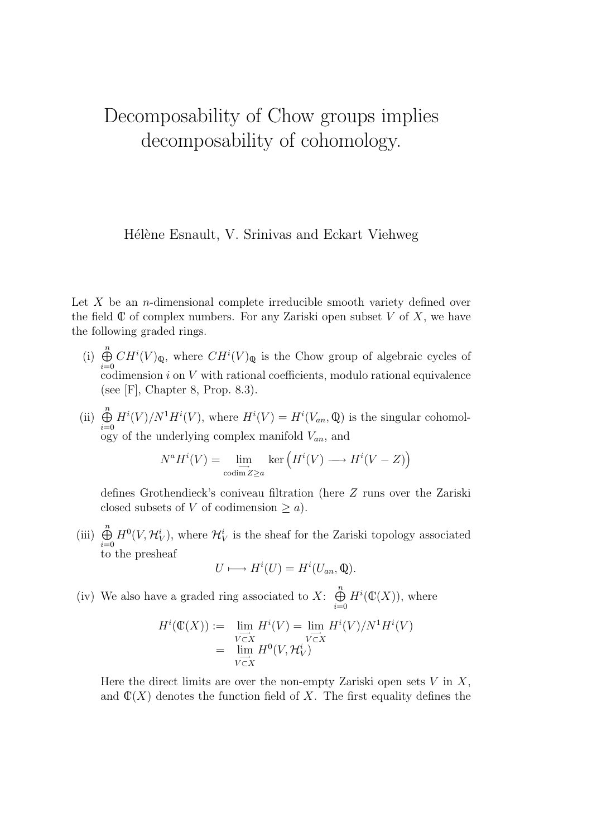## Decomposability of Chow groups implies decomposability of cohomology.

Hélène Esnault, V. Srinivas and Eckart Viehweg

Let  $X$  be an *n*-dimensional complete irreducible smooth variety defined over the field  $\mathbb C$  of complex numbers. For any Zariski open subset V of X, we have the following graded rings.

- (i)  $\bigoplus^n$  $i=0$  $CH^{i}(V)_{\mathbb{Q}}$ , where  $CH^{i}(V)_{\mathbb{Q}}$  is the Chow group of algebraic cycles of codimension  $i$  on  $V$  with rational coefficients, modulo rational equivalence (see [F], Chapter 8, Prop. 8.3).
- (ii)  $\bigoplus^n$  $i=0$  $H^{i}(V)/N^{1}H^{i}(V)$ , where  $H^{i}(V) = H^{i}(V_{an}, \mathbb{Q})$  is the singular cohomology of the underlying complex manifold  $V_{an}$ , and

$$
N^a H^i(V) = \lim_{\substack{\text{codim } Z \ge a}} \ker \left( H^i(V) \longrightarrow H^i(V - Z) \right)
$$

defines Grothendieck's coniveau filtration (here Z runs over the Zariski closed subsets of V of codimension  $\geq a$ ).

(iii)  $\bigoplus^n$  $i=0$  $H^0(V, \mathcal{H}_V^i)$ , where  $\mathcal{H}_V^i$  is the sheaf for the Zariski topology associated to the presheaf

$$
U \longmapsto H^i(U) = H^i(U_{an}, \mathbb{Q}).
$$

(iv) We also have a graded ring associated to X:  $\bigoplus^{n}$  $i=0$  $H^i(\mathbb{C}(X))$ , where

$$
H^i(\mathbb{C}(X)) := \lim_{\substack{V \subset X \\ V \subset X}} H^i(V) = \lim_{\substack{V \subset X \\ V \subset X}} H^i(V)/N^1 H^i(V)
$$
  
= 
$$
\lim_{\substack{V \subset X \\ V \subset X}} H^0(V, \mathcal{H}_V^i)
$$

Here the direct limits are over the non-empty Zariski open sets  $V$  in  $X$ , and  $\mathbb{C}(X)$  denotes the function field of X. The first equality defines the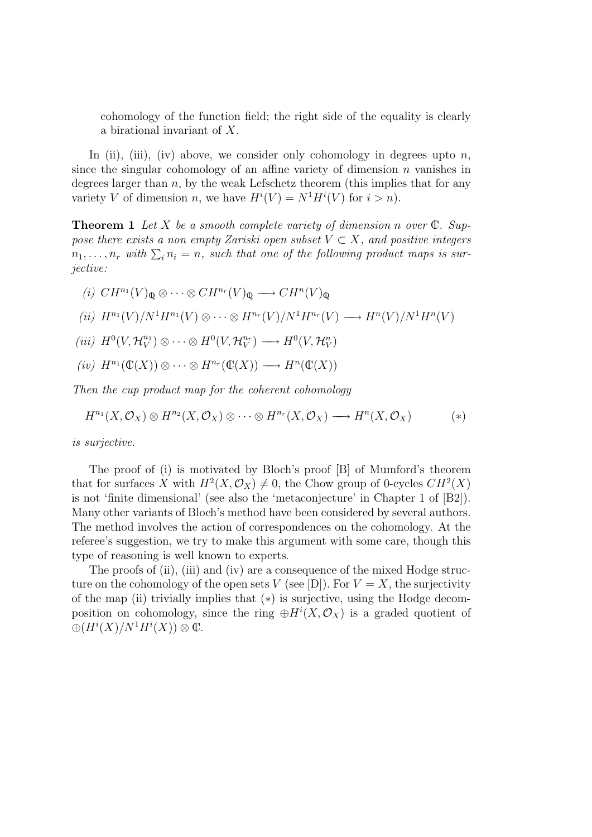cohomology of the function field; the right side of the equality is clearly a birational invariant of X.

In (ii), (iii), (iv) above, we consider only cohomology in degrees upto  $n$ , since the singular cohomology of an affine variety of dimension  $n$  vanishes in degrees larger than  $n$ , by the weak Lefschetz theorem (this implies that for any variety V of dimension n, we have  $H^{i}(V) = N^{1} H^{i}(V)$  for  $i > n$ ).

**Theorem 1** Let X be a smooth complete variety of dimension n over  $\mathbb{C}$ . Suppose there exists a non empty Zariski open subset  $V \subset X$ , and positive integers  $n_1, \ldots, n_r$  with  $\Sigma_i n_i = n$ , such that one of the following product maps is surjective:

$$
(i) \; CH^{n_1}(V)_{\mathbb{Q}} \otimes \cdots \otimes CH^{n_r}(V)_{\mathbb{Q}} \longrightarrow CH^n(V)_{\mathbb{Q}}
$$
  

$$
(ii) \; H^{n_1}(V)/N^1H^{n_1}(V) \otimes \cdots \otimes H^{n_r}(V)/N^1H^{n_r}(V) \longrightarrow H^n(V)/N^1H^n(V)
$$
  

$$
(iii) \; H^0(V, \mathcal{H}_V^{n_1}) \otimes \cdots \otimes H^0(V, \mathcal{H}_V^{n_r}) \longrightarrow H^0(V, \mathcal{H}_V^n)
$$

 $(iv)$   $H^{n_1}(\mathbb{C}(X)) \otimes \cdots \otimes H^{n_r}(\mathbb{C}(X)) \longrightarrow H^n(\mathbb{C}(X))$ 

Then the cup product map for the coherent cohomology

$$
H^{n_1}(X,\mathcal{O}_X) \otimes H^{n_2}(X,\mathcal{O}_X) \otimes \cdots \otimes H^{n_r}(X,\mathcal{O}_X) \longrightarrow H^n(X,\mathcal{O}_X) \qquad (*)
$$

is surjective.

The proof of (i) is motivated by Bloch's proof [B] of Mumford's theorem that for surfaces X with  $H^2(X, \mathcal{O}_X) \neq 0$ , the Chow group of 0-cycles  $CH^2(X)$ is not 'finite dimensional' (see also the 'metaconjecture' in Chapter 1 of [B2]). Many other variants of Bloch's method have been considered by several authors. The method involves the action of correspondences on the cohomology. At the referee's suggestion, we try to make this argument with some care, though this type of reasoning is well known to experts.

The proofs of (ii), (iii) and (iv) are a consequence of the mixed Hodge structure on the cohomology of the open sets V (see [D]). For  $V = X$ , the surjectivity of the map (ii) trivially implies that  $(*)$  is surjective, using the Hodge decomposition on cohomology, since the ring  $\oplus H^{i}(X, \mathcal{O}_{X})$  is a graded quotient of  $\oplus (H^i(X)/N^1H^i(X))\otimes \mathbb{C}.$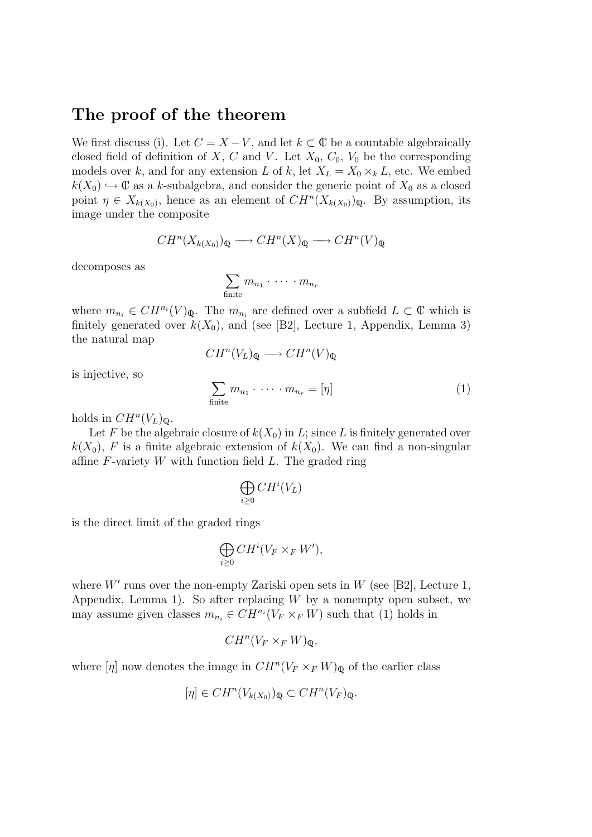## The proof of the theorem

We first discuss (i). Let  $C = X - V$ , and let  $k \subset \mathbb{C}$  be a countable algebraically closed field of definition of X, C and V. Let  $X_0$ ,  $C_0$ ,  $V_0$  be the corresponding models over k, and for any extension L of k, let  $X_L = X_0 \times_k L$ , etc. We embed  $k(X_0) \hookrightarrow \mathbb{C}$  as a k-subalgebra, and consider the generic point of  $X_0$  as a closed point  $\eta \in X_{k(X_0)}$ , hence as an element of  $CH^n(X_{k(X_0)})_{\mathbb{Q}}$ . By assumption, its image under the composite

$$
CH^n(X_{k(X_0)})_\mathbb{Q} \longrightarrow CH^n(X)_\mathbb{Q} \longrightarrow CH^n(V)_\mathbb{Q}
$$

decomposes as

$$
\sum_{\text{finite}} m_{n_1} \cdot \cdots \cdot m_{n_r}
$$

where  $m_{n_i} \in CH^{n_i}(V)_{\mathbb{Q}}$ . The  $m_{n_i}$  are defined over a subfield  $L \subset \mathbb{C}$  which is finitely generated over  $k(X_0)$ , and (see [B2], Lecture 1, Appendix, Lemma 3) the natural map

$$
CH^n(V_L)_{\mathbb{Q}} \longrightarrow CH^n(V)_{\mathbb{Q}}
$$

is injective, so

$$
\sum_{\text{finite}} m_{n_1} \cdot \dots \cdot m_{n_r} = [\eta] \tag{1}
$$

holds in  $CH^n(V_L)_{\mathbb{Q}}$ .

Let F be the algebraic closure of  $k(X_0)$  in L; since L is finitely generated over  $k(X_0)$ , F is a finite algebraic extension of  $k(X_0)$ . We can find a non-singular affine  $F$ -variety  $W$  with function field  $L$ . The graded ring

$$
\bigoplus_{i\geq 0} CH^i(V_L)
$$

is the direct limit of the graded rings

$$
\bigoplus_{i\geq 0} CH^i(V_F\times_F W'),
$$

where  $W'$  runs over the non-empty Zariski open sets in W (see [B2], Lecture 1, Appendix, Lemma 1). So after replacing  $W$  by a nonempty open subset, we may assume given classes  $m_{n_i} \in CH^{n_i}(V_F \times_F W)$  such that (1) holds in

$$
CH^n(V_F\times_F W)_{\mathbb{Q}},
$$

where  $[\eta]$  now denotes the image in  $CH^n(V_F \times_F W)_{\mathbb{Q}}$  of the earlier class

$$
[\eta] \in CH^n(V_{k(X_0)})_\mathbb{Q} \subset CH^n(V_F)_\mathbb{Q}.
$$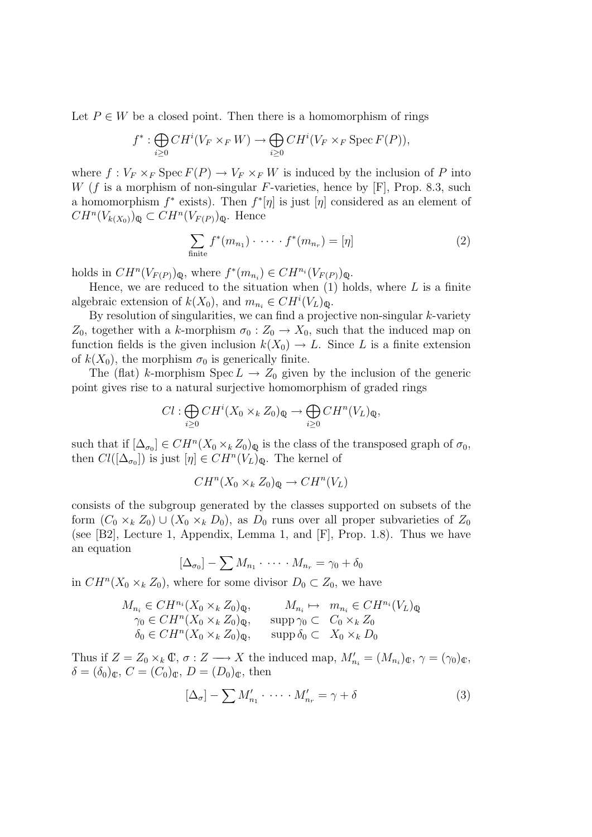Let  $P \in W$  be a closed point. Then there is a homomorphism of rings

$$
f^* : \bigoplus_{i \geq 0} CH^i(V_F \times_F W) \to \bigoplus_{i \geq 0} CH^i(V_F \times_F \text{Spec } F(P)),
$$

where  $f: V_F \times_F \text{Spec } F(P) \to V_F \times_F W$  is induced by the inclusion of P into W (f is a morphism of non-singular F-varieties, hence by  $[F]$ , Prop. 8.3, such a homomorphism  $f^*$  exists). Then  $f^*[\eta]$  is just  $[\eta]$  considered as an element of  $CH^n(V_{k(X_0)})_\mathbb{Q} \subset CH^n(V_{F(P)})_\mathbb{Q}$ . Hence

$$
\sum_{\text{finite}} f^*(m_{n_1}) \cdot \cdots \cdot f^*(m_{n_r}) = [\eta] \tag{2}
$$

holds in  $CH^n(V_{F(P)})_{\mathbb{Q}}$ , where  $f^*(m_{n_i}) \in CH^{n_i}(V_{F(P)})_{\mathbb{Q}}$ .

Hence, we are reduced to the situation when  $(1)$  holds, where L is a finite algebraic extension of  $k(X_0)$ , and  $m_{n_i} \in CH^i(V_L)_{\mathbb{Q}}$ .

By resolution of singularities, we can find a projective non-singular  $k$ -variety  $Z_0$ , together with a k-morphism  $\sigma_0 : Z_0 \to X_0$ , such that the induced map on function fields is the given inclusion  $k(X_0) \to L$ . Since L is a finite extension of  $k(X_0)$ , the morphism  $\sigma_0$  is generically finite.

The (flat) k-morphism Spec  $L \to Z_0$  given by the inclusion of the generic point gives rise to a natural surjective homomorphism of graded rings

$$
Cl: \bigoplus_{i\geq 0} CH^i(X_0 \times_k Z_0)_{\mathbb{Q}} \to \bigoplus_{i\geq 0} CH^n(V_L)_{\mathbb{Q}},
$$

such that if  $[\Delta_{\sigma_0}] \in CH^n(X_0 \times_k Z_0)_{\mathbb{Q}}$  is the class of the transposed graph of  $\sigma_0$ , then  $Cl([\Delta_{\sigma_0}])$  is just  $[\eta] \in CH^n(V_L)_{\mathbb{Q}}$ . The kernel of

$$
CH^n(X_0 \times_k Z_0)_{\mathbb{Q}} \to CH^n(V_L)
$$

consists of the subgroup generated by the classes supported on subsets of the form  $(C_0 \times_k Z_0) \cup (X_0 \times_k D_0)$ , as  $D_0$  runs over all proper subvarieties of  $Z_0$ (see [B2], Lecture 1, Appendix, Lemma 1, and  $[F]$ , Prop. 1.8). Thus we have an equation

$$
[\Delta_{\sigma_0}] - \sum M_{n_1} \cdot \cdots \cdot M_{n_r} = \gamma_0 + \delta_0
$$

in  $CH^n(X_0 \times_k Z_0)$ , where for some divisor  $D_0 \subset Z_0$ , we have

$$
M_{n_i} \in CH^{n_i}(X_0 \times_k Z_0)_{\mathbb{Q}}, \qquad M_{n_i} \mapsto m_{n_i} \in CH^{n_i}(V_L)_{\mathbb{Q}}
$$
  
\n
$$
\gamma_0 \in CH^n(X_0 \times_k Z_0)_{\mathbb{Q}}, \qquad \text{supp}\,\gamma_0 \subset C_0 \times_k Z_0
$$
  
\n
$$
\delta_0 \in CH^n(X_0 \times_k Z_0)_{\mathbb{Q}}, \qquad \text{supp}\,\delta_0 \subset X_0 \times_k D_0
$$

Thus if  $Z = Z_0 \times_k \mathbb{C}$ ,  $\sigma : Z \longrightarrow X$  the induced map,  $M'_{n_i} = (M_{n_i})_{\mathbb{C}}$ ,  $\gamma = (\gamma_0)_{\mathbb{C}}$ ,  $\delta = (\delta_0)_{\mathbb{C}}, C = (C_0)_{\mathbb{C}}, D = (D_0)_{\mathbb{C}}, \text{ then}$ 

$$
[\Delta_{\sigma}] - \sum M'_{n_1} \cdot \cdots \cdot M'_{n_r} = \gamma + \delta \tag{3}
$$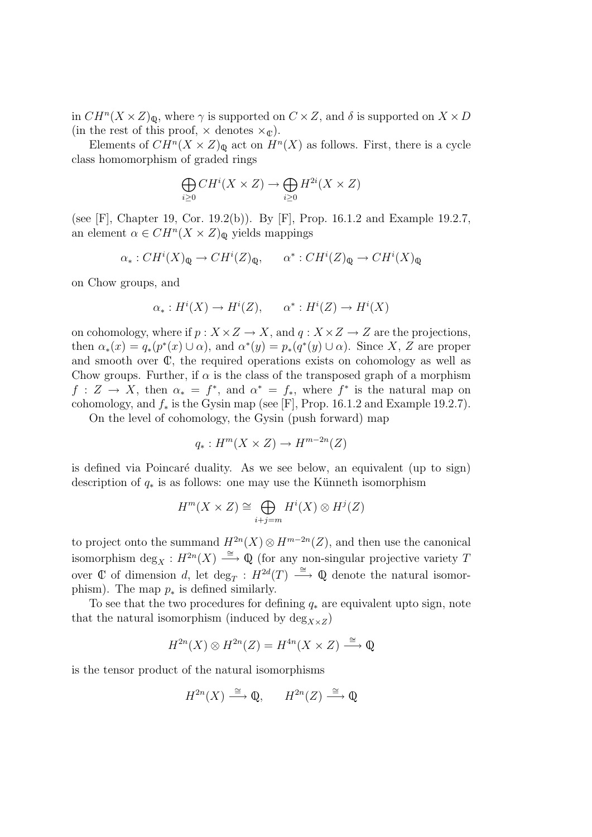in  $CH^n(X \times Z)_{\mathbb{Q}}$ , where  $\gamma$  is supported on  $C \times Z$ , and  $\delta$  is supported on  $X \times D$ (in the rest of this proof,  $\times$  denotes  $\times_{\mathbb{C}}$ ).

Elements of  $CH^n(X \times Z)_{\mathbb{Q}}$  act on  $H^n(X)$  as follows. First, there is a cycle class homomorphism of graded rings

$$
\bigoplus_{i\geq 0} CH^i(X \times Z) \to \bigoplus_{i\geq 0} H^{2i}(X \times Z)
$$

(see [F], Chapter 19, Cor. 19.2(b)). By [F], Prop. 16.1.2 and Example 19.2.7, an element  $\alpha \in CH^n(X \times Z)_{\mathbb{Q}}$  yields mappings

$$
\alpha_*: CH^i(X)_{\mathbb{Q}} \to CH^i(Z)_{\mathbb{Q}}, \qquad \alpha^*: CH^i(Z)_{\mathbb{Q}} \to CH^i(X)_{\mathbb{Q}}
$$

on Chow groups, and

$$
\alpha_* : H^i(X) \to H^i(Z), \qquad \alpha^* : H^i(Z) \to H^i(X)
$$

on cohomology, where if  $p: X \times Z \to X$ , and  $q: X \times Z \to Z$  are the projections, then  $\alpha_*(x) = q_*(p^*(x) \cup \alpha)$ , and  $\alpha^*(y) = p_*(q^*(y) \cup \alpha)$ . Since X, Z are proper and smooth over  $\mathbb{C}$ , the required operations exists on cohomology as well as Chow groups. Further, if  $\alpha$  is the class of the transposed graph of a morphism  $f: Z \to X$ , then  $\alpha_* = f^*$ , and  $\alpha^* = f_*$ , where  $f^*$  is the natural map on cohomology, and  $f_*$  is the Gysin map (see [F], Prop. 16.1.2 and Example 19.2.7).

On the level of cohomology, the Gysin (push forward) map

$$
q_*: H^m(X \times Z) \to H^{m-2n}(Z)
$$

is defined via Poincaré duality. As we see below, an equivalent (up to sign) description of  $q_*$  is as follows: one may use the Künneth isomorphism

$$
H^m(X \times Z) \cong \bigoplus_{i+j=m} H^i(X) \otimes H^j(Z)
$$

to project onto the summand  $H^{2n}(X) \otimes H^{m-2n}(Z)$ , and then use the canonical isomorphism  $\deg_X : H^{2n}(X) \stackrel{\cong}{\longrightarrow} \mathbb{Q}$  (for any non-singular projective variety T over  $\mathbb C$  of dimension d, let  $\deg_T: H^{2d}(T) \longrightarrow \mathbb Q$  denote the natural isomorphism). The map  $p_*$  is defined similarly.

To see that the two procedures for defining  $q_*$  are equivalent upto sign, note that the natural isomorphism (induced by  $\deg_{X\times Z}$ )

$$
H^{2n}(X)\otimes H^{2n}(Z)=H^{4n}(X\times Z)\stackrel{\cong}{\longrightarrow}\mathbb{Q}
$$

is the tensor product of the natural isomorphisms

$$
H^{2n}(X) \xrightarrow{\cong} \mathbb{Q}, \qquad H^{2n}(Z) \xrightarrow{\cong} \mathbb{Q}
$$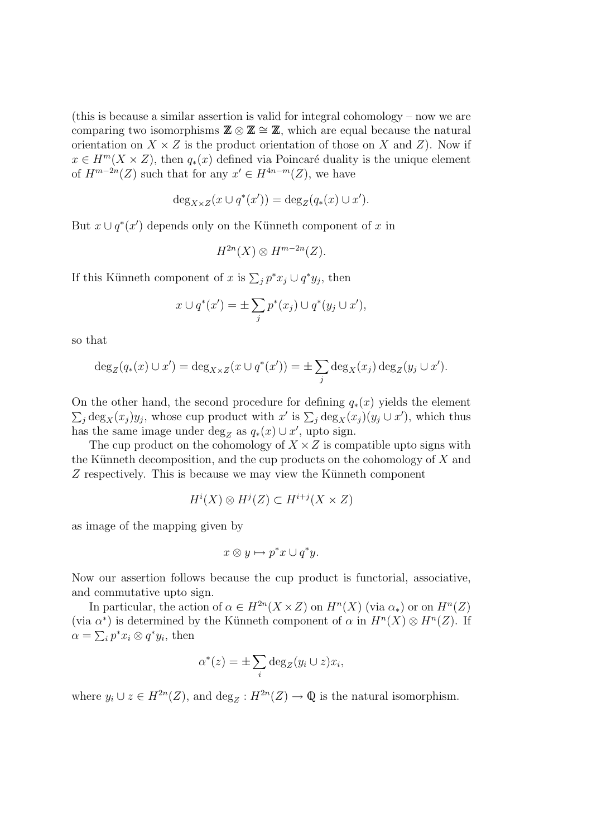(this is because a similar assertion is valid for integral cohomology – now we are comparing two isomorphisms  $\mathbb{Z} \otimes \mathbb{Z} \cong \mathbb{Z}$ , which are equal because the natural orientation on  $X \times Z$  is the product orientation of those on X and Z). Now if  $x \in H^m(X \times Z)$ , then  $q_*(x)$  defined via Poincaré duality is the unique element of  $H^{m-2n}(Z)$  such that for any  $x' \in H^{4n-m}(Z)$ , we have

$$
\deg_{X \times Z}(x \cup q^*(x')) = \deg_Z(q_*(x) \cup x').
$$

But  $x \cup q^*(x')$  depends only on the Künneth component of x in

$$
H^{2n}(X) \otimes H^{m-2n}(Z).
$$

If this Künneth component of x is  $\sum_j p^* x_j \cup q^* y_j$ , then

$$
x \cup q^*(x') = \pm \sum_j p^*(x_j) \cup q^*(y_j \cup x'),
$$

so that

$$
\deg_Z(q_*(x) \cup x') = \deg_{X \times Z}(x \cup q^*(x')) = \pm \sum_j \deg_X(x_j) \deg_Z(y_j \cup x').
$$

On the other hand, the second procedure for defining  $q_*(x)$  yields the element  $\sum_j \text{deg}_X(x_j) y_j$ , whose cup product with  $x'$  is  $\sum_j \text{deg}_X(x_j) (y_j \cup x')$ , which thus has the same image under  $\deg_Z$  as  $q_*(x) \cup x'$ , upto sign.

The cup product on the cohomology of  $X \times Z$  is compatible upto signs with the Künneth decomposition, and the cup products on the cohomology of  $X$  and  $Z$  respectively. This is because we may view the Künneth component

$$
H^i(X) \otimes H^j(Z) \subset H^{i+j}(X \times Z)
$$

as image of the mapping given by

$$
x\otimes y\mapsto p^*x\cup q^*y.
$$

Now our assertion follows because the cup product is functorial, associative, and commutative upto sign.

In particular, the action of  $\alpha \in H^{2n}(X \times Z)$  on  $H^n(X)$  (via  $\alpha_*$ ) or on  $H^n(Z)$ (via  $\alpha^*$ ) is determined by the Künneth component of  $\alpha$  in  $H^n(X) \otimes H^n(Z)$ . If  $\alpha = \sum_i p^* x_i \otimes q^* y_i$ , then

$$
\alpha^*(z) = \pm \sum_i \deg_Z(y_i \cup z) x_i,
$$

where  $y_i \cup z \in H^{2n}(Z)$ , and  $\deg_Z: H^{2n}(Z) \to \mathbb{Q}$  is the natural isomorphism.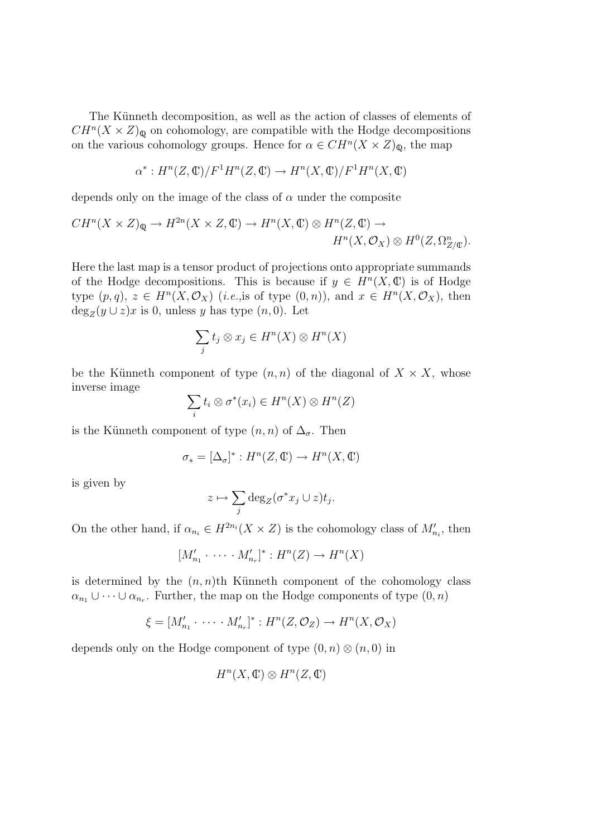The Künneth decomposition, as well as the action of classes of elements of  $CH^{n}(X \times Z)_{\mathbb{Q}}$  on cohomology, are compatible with the Hodge decompositions on the various cohomology groups. Hence for  $\alpha \in CH^n(X \times Z)_{\mathbb{Q}}$ , the map

$$
\alpha^*: H^n(Z, \mathbb{C})/F^1H^n(Z, \mathbb{C}) \to H^n(X, \mathbb{C})/F^1H^n(X, \mathbb{C})
$$

depends only on the image of the class of  $\alpha$  under the composite

$$
CH^n(X \times Z)_{\mathbb{Q}} \to H^{2n}(X \times Z, \mathbb{C}) \to H^n(X, \mathbb{C}) \otimes H^n(Z, \mathbb{C}) \to
$$
  

$$
H^n(X, \mathcal{O}_X) \otimes H^0(Z, \Omega^n_{Z/\mathbb{C}}).
$$

Here the last map is a tensor product of projections onto appropriate summands of the Hodge decompositions. This is because if  $y \in H<sup>n</sup>(X, \mathbb{C})$  is of Hodge type  $(p, q)$ ,  $z \in H^{n}(X, \mathcal{O}_{X})$  (*i.e.*, is of type  $(0, n)$ ), and  $x \in H^{n}(X, \mathcal{O}_{X})$ , then  $\deg_Z(y \cup z)x$  is 0, unless y has type  $(n, 0)$ . Let

$$
\sum_j t_j \otimes x_j \in H^n(X) \otimes H^n(X)
$$

be the Künneth component of type  $(n, n)$  of the diagonal of  $X \times X$ , whose inverse image

$$
\sum_i t_i \otimes \sigma^*(x_i) \in H^n(X) \otimes H^n(Z)
$$

is the Künneth component of type  $(n, n)$  of  $\Delta_{\sigma}$ . Then

$$
\sigma_* = [\Delta_\sigma]^* : H^n(Z, \mathbb{C}) \to H^n(X, \mathbb{C})
$$

is given by

$$
z \mapsto \sum_j \deg_Z(\sigma^* x_j \cup z) t_j.
$$

On the other hand, if  $\alpha_{n_i} \in H^{2n_i}(X \times Z)$  is the cohomology class of  $M'_{n_i}$ , then

$$
[M'_{n_1} \cdot \cdots \cdot M'_{n_r}]^* : H^n(Z) \to H^n(X)
$$

is determined by the  $(n, n)$ th Künneth component of the cohomology class  $\alpha_{n_1} \cup \cdots \cup \alpha_{n_r}$ . Further, the map on the Hodge components of type  $(0, n)$ 

$$
\xi = [M'_{n_1} \cdot \cdots \cdot M'_{n_r}]^* : H^n(Z, \mathcal{O}_Z) \to H^n(X, \mathcal{O}_X)
$$

depends only on the Hodge component of type  $(0, n) \otimes (n, 0)$  in

$$
H^n(X, \mathbb{C}) \otimes H^n(Z, \mathbb{C})
$$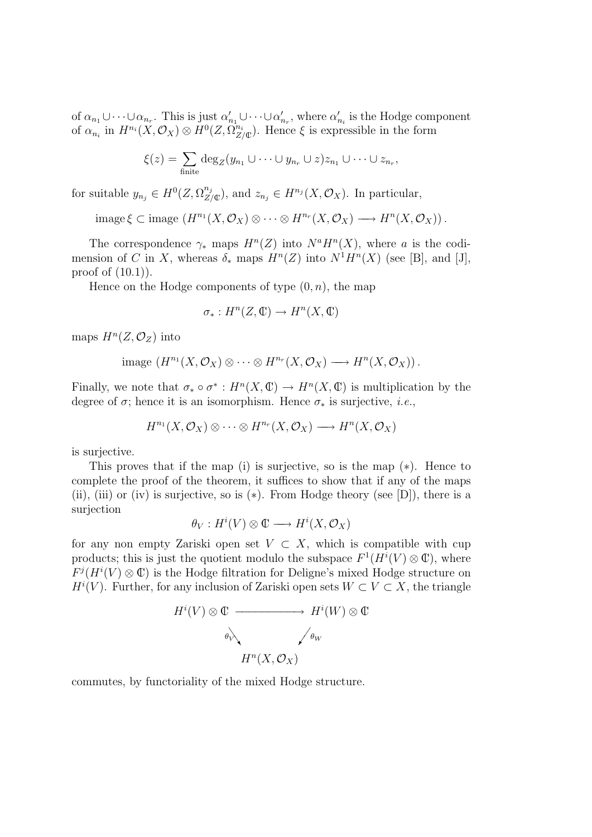of  $\alpha_{n_1} \cup \cdots \cup \alpha_{n_r}$ . This is just  $\alpha'_{n_1} \cup \cdots \cup \alpha'_{n_r}$ , where  $\alpha'_{n_i}$  is the Hodge component of  $\alpha_{n_i}$  in  $H^{n_i}(X, \mathcal{O}_X) \otimes H^0(Z, \Omega^{n_i}_{Z/\mathbb{C}})$ . Hence  $\xi$  is expressible in the form

$$
\xi(z) = \sum_{\text{finite}} \deg_Z(y_{n_1} \cup \cdots \cup y_{n_r} \cup z) z_{n_1} \cup \cdots \cup z_{n_r},
$$

for suitable  $y_{n_j} \in H^0(Z, \Omega^{n_j}_{Z/\mathbb{C}})$ , and  $z_{n_j} \in H^{n_j}(X, \mathcal{O}_X)$ . In particular,

 $\text{image } \xi \subset \text{image } (H^{n_1}(X, \mathcal{O}_X) \otimes \cdots \otimes H^{n_r}(X, \mathcal{O}_X) \longrightarrow H^n(X, \mathcal{O}_X)).$ 

The correspondence  $\gamma_*$  maps  $H^n(Z)$  into  $N^a H^n(X)$ , where a is the codimension of C in X, whereas  $\delta_*$  maps  $H^n(Z)$  into  $N^1H^n(X)$  (see [B], and [J], proof of  $(10.1)$ .

Hence on the Hodge components of type  $(0, n)$ , the map

$$
\sigma_*: H^n(Z, \mathbb{C}) \to H^n(X, \mathbb{C})
$$

maps  $H^n(Z, \mathcal{O}_Z)$  into

$$
\text{image }(H^{n_1}(X,\mathcal{O}_X)\otimes\cdots\otimes H^{n_r}(X,\mathcal{O}_X)\longrightarrow H^n(X,\mathcal{O}_X)).
$$

Finally, we note that  $\sigma_* \circ \sigma^* : H^n(X, \mathbb{C}) \to H^n(X, \mathbb{C})$  is multiplication by the degree of  $\sigma$ ; hence it is an isomorphism. Hence  $\sigma_*$  is surjective, *i.e.*,

$$
H^{n_1}(X,\mathcal{O}_X) \otimes \cdots \otimes H^{n_r}(X,\mathcal{O}_X) \longrightarrow H^n(X,\mathcal{O}_X)
$$

is surjective.

This proves that if the map (i) is surjective, so is the map  $(*)$ . Hence to complete the proof of the theorem, it suffices to show that if any of the maps (ii), (iii) or (iv) is surjective, so is  $(*)$ . From Hodge theory (see [D]), there is a surjection

$$
\theta_V: H^i(V) \otimes \mathbb{C} \longrightarrow H^i(X, \mathcal{O}_X)
$$

for any non empty Zariski open set  $V \subset X$ , which is compatible with cup products; this is just the quotient modulo the subspace  $F^1(H^i(V) \otimes \mathbb{C})$ , where  $F^{j}(H^{i}(V) \otimes \mathbb{C})$  is the Hodge filtration for Deligne's mixed Hodge structure on  $H^i(V)$ . Further, for any inclusion of Zariski open sets  $W \subset V \subset X$ , the triangle

$$
H^{i}(V) \otimes \mathbb{C} \longrightarrow H^{i}(W) \otimes \mathbb{C}
$$
  

$$
\xrightarrow{\theta_{V}}
$$
  

$$
H^{n}(X, \mathcal{O}_{X})
$$

commutes, by functoriality of the mixed Hodge structure.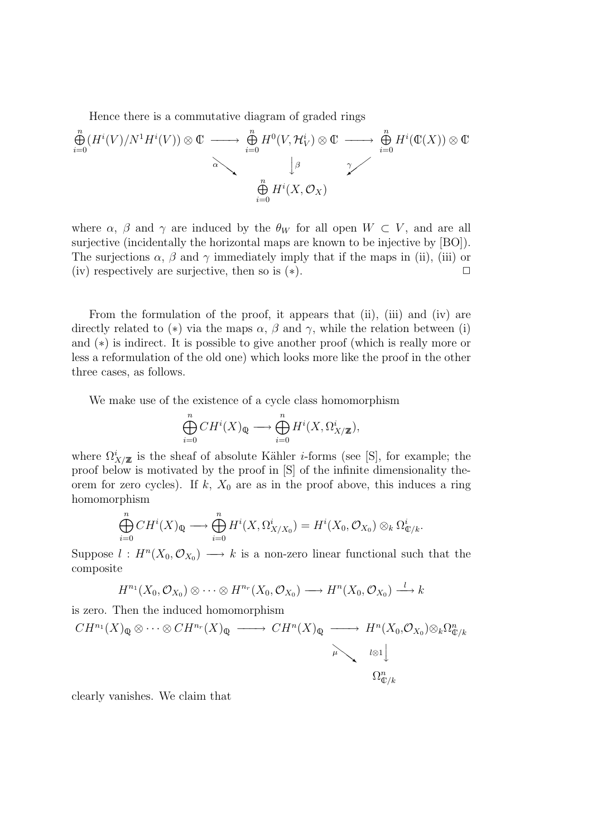Hence there is a commutative diagram of graded rings

$$
\bigoplus_{i=0}^{n} (H^{i}(V)/N^{1}H^{i}(V)) \otimes \mathbb{C} \longrightarrow \bigoplus_{i=0}^{n} H^{0}(V, \mathcal{H}_{V}^{i}) \otimes \mathbb{C} \longrightarrow \bigoplus_{i=0}^{n} H^{i}(\mathbb{C}(X)) \otimes \mathbb{C}
$$
  

$$
\bigoplus_{i=0}^{n} H^{i}(X, \mathcal{O}_{X})
$$

where  $\alpha$ ,  $\beta$  and  $\gamma$  are induced by the  $\theta_W$  for all open  $W \subset V$ , and are all surjective (incidentally the horizontal maps are known to be injective by [BO]). The surjections  $\alpha$ ,  $\beta$  and  $\gamma$  immediately imply that if the maps in (ii), (iii) or (iv) respectively are surjective, then so is  $(*)$ .

From the formulation of the proof, it appears that (ii), (iii) and (iv) are directly related to (\*) via the maps  $\alpha$ ,  $\beta$  and  $\gamma$ , while the relation between (i) and (∗) is indirect. It is possible to give another proof (which is really more or less a reformulation of the old one) which looks more like the proof in the other three cases, as follows.

We make use of the existence of a cycle class homomorphism

$$
\bigoplus_{i=0}^n CH^i(X)_{{\mathbb Q}} \longrightarrow \bigoplus_{i=0}^n H^i(X, \Omega^i_{X/{\mathbb Z}}),
$$

where  $\Omega^i_{X/\mathbb{Z}}$  is the sheaf of absolute Kähler *i*-forms (see [S], for example; the proof below is motivated by the proof in [S] of the infinite dimensionality theorem for zero cycles). If  $k$ ,  $X_0$  are as in the proof above, this induces a ring homomorphism

$$
\bigoplus_{i=0}^n CH^i(X)_{\mathbb{Q}} \longrightarrow \bigoplus_{i=0}^n H^i(X, \Omega^i_{X/X_0}) = H^i(X_0, \mathcal{O}_{X_0}) \otimes_k \Omega^i_{\mathbb{Q}/k}.
$$

Suppose  $l : H<sup>n</sup>(X_0, \mathcal{O}_{X_0}) \longrightarrow k$  is a non-zero linear functional such that the composite

$$
H^{n_1}(X_0, \mathcal{O}_{X_0}) \otimes \cdots \otimes H^{n_r}(X_0, \mathcal{O}_{X_0}) \longrightarrow H^n(X_0, \mathcal{O}_{X_0}) \stackrel{l}{\longrightarrow} k
$$

is zero. Then the induced homomorphism

$$
CH^{n_1}(X)_{\mathbb{Q}} \otimes \cdots \otimes CH^{n_r}(X)_{\mathbb{Q}} \longrightarrow CH^n(X)_{\mathbb{Q}} \longrightarrow H^n(X_0, \mathcal{O}_{X_0}) \otimes_k \Omega_{\mathbb{Q}/k}^n
$$
  

$$
\downarrow \downarrow \downarrow \downarrow
$$
  

$$
\Omega_{\mathbb{Q}/k}^n
$$

clearly vanishes. We claim that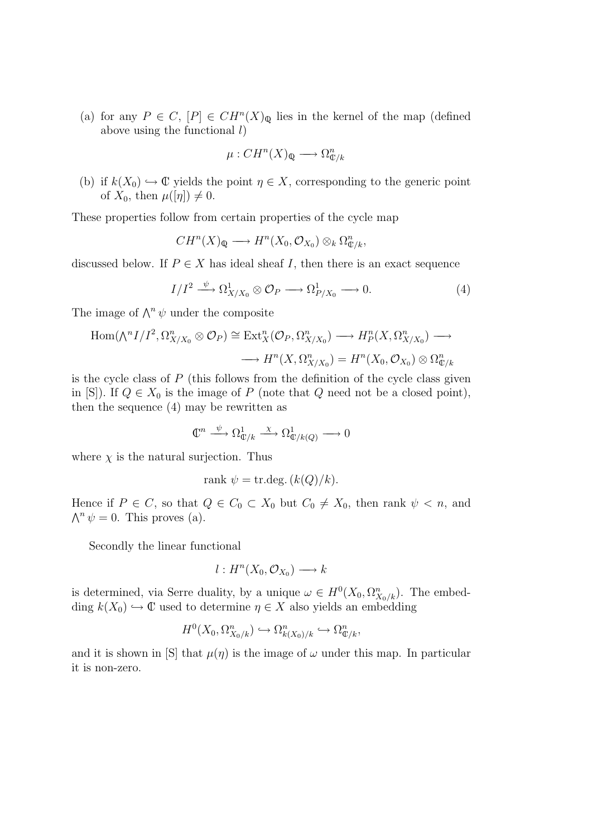(a) for any  $P \in C$ ,  $[P] \in CH^n(X)_{\mathbb{Q}}$  lies in the kernel of the map (defined above using the functional  $l$ )

$$
\mu: CH^n(X)_{\mathbb{Q}} \longrightarrow \Omega_{\mathbb{C}/k}^n
$$

(b) if  $k(X_0) \hookrightarrow \mathbb{C}$  yields the point  $\eta \in X$ , corresponding to the generic point of  $X_0$ , then  $\mu([\eta]) \neq 0$ .

These properties follow from certain properties of the cycle map

$$
CH^n(X)_{\mathbb{Q}} \longrightarrow H^n(X_0, \mathcal{O}_{X_0}) \otimes_k \Omega_{\mathbb{C}/k}^n,
$$

discussed below. If  $P \in X$  has ideal sheaf I, then there is an exact sequence

$$
I/I^2 \xrightarrow{\psi} \Omega^1_{X/X_0} \otimes \mathcal{O}_P \longrightarrow \Omega^1_{P/X_0} \longrightarrow 0. \tag{4}
$$

The image of  $\wedge^n \psi$  under the composite

$$
\text{Hom}(\text{A}^n I/I^2, \Omega^n_{X/X_0} \otimes \mathcal{O}_P) \cong \text{Ext}^n_X(\mathcal{O}_P, \Omega^n_{X/X_0}) \longrightarrow H^n_P(X, \Omega^n_{X/X_0}) \longrightarrow
$$
  

$$
\longrightarrow H^n(X, \Omega^n_{X/X_0}) = H^n(X_0, \mathcal{O}_{X_0}) \otimes \Omega^n_{\mathbb{C}/k}
$$

is the cycle class of  $P$  (this follows from the definition of the cycle class given in [S]). If  $Q \in X_0$  is the image of P (note that Q need not be a closed point), then the sequence (4) may be rewritten as

$$
\mathbb{C}^n \xrightarrow{\psi} \Omega^1_{\mathbb{C}/k} \xrightarrow{\chi} \Omega^1_{\mathbb{C}/k(Q)} \longrightarrow 0
$$

where  $\chi$  is the natural surjection. Thus

$$
rank \psi = \text{tr.deg.} (k(Q)/k).
$$

Hence if  $P \in C$ , so that  $Q \in C_0 \subset X_0$  but  $C_0 \neq X_0$ , then rank  $\psi < n$ , and  $\bigwedge^n \psi = 0$ . This proves (a).

Secondly the linear functional

$$
l: H^n(X_0, \mathcal{O}_{X_0}) \longrightarrow k
$$

is determined, via Serre duality, by a unique  $\omega \in H^0(X_0, \Omega^n_{X_0/k})$ . The embedding  $k(X_0) \hookrightarrow \mathbb{C}$  used to determine  $\eta \in X$  also yields an embedding

$$
H^0(X_0, \Omega^n_{X_0/k}) \hookrightarrow \Omega^n_{k(X_0)/k} \hookrightarrow \Omega^n_{\mathbb{C}/k},
$$

and it is shown in [S] that  $\mu(\eta)$  is the image of  $\omega$  under this map. In particular it is non-zero.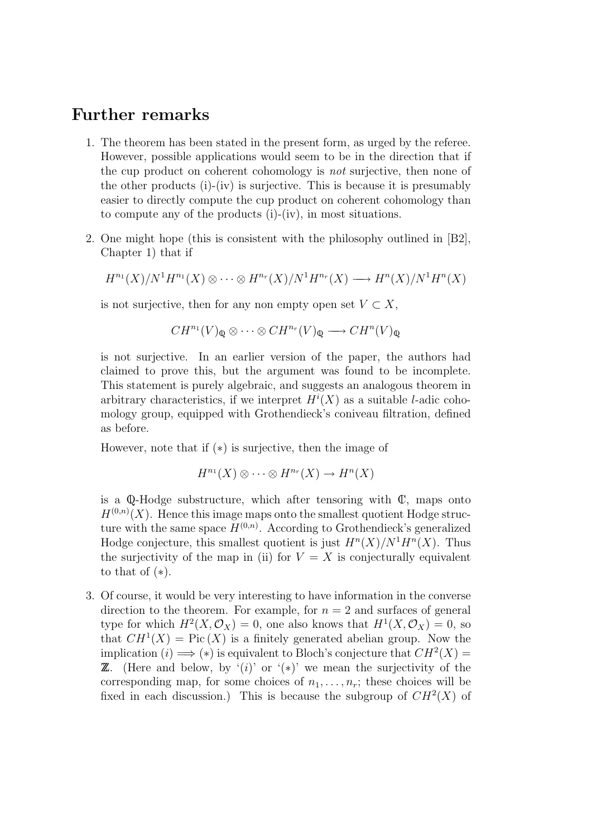## Further remarks

- 1. The theorem has been stated in the present form, as urged by the referee. However, possible applications would seem to be in the direction that if the cup product on coherent cohomology is not surjective, then none of the other products (i)-(iv) is surjective. This is because it is presumably easier to directly compute the cup product on coherent cohomology than to compute any of the products (i)-(iv), in most situations.
- 2. One might hope (this is consistent with the philosophy outlined in [B2], Chapter 1) that if

$$
H^{n_1}(X)/N^1H^{n_1}(X)\otimes\cdots\otimes H^{n_r}(X)/N^1H^{n_r}(X)\longrightarrow H^n(X)/N^1H^n(X)
$$

is not surjective, then for any non empty open set  $V \subset X$ ,

$$
CH^{n_1}(V)_{\mathbb{Q}} \otimes \cdots \otimes CH^{n_r}(V)_{\mathbb{Q}} \longrightarrow CH^{n}(V)_{\mathbb{Q}}
$$

is not surjective. In an earlier version of the paper, the authors had claimed to prove this, but the argument was found to be incomplete. This statement is purely algebraic, and suggests an analogous theorem in arbitrary characteristics, if we interpret  $H^{i}(X)$  as a suitable *l*-adic cohomology group, equipped with Grothendieck's coniveau filtration, defined as before.

However, note that if (∗) is surjective, then the image of

$$
H^{n_1}(X) \otimes \cdots \otimes H^{n_r}(X) \to H^n(X)
$$

is a  $\mathbb Q$ -Hodge substructure, which after tensoring with  $\mathbb C$ , maps onto  $H^{(0,n)}(X)$ . Hence this image maps onto the smallest quotient Hodge structure with the same space  $H^{(0,n)}$ . According to Grothendieck's generalized Hodge conjecture, this smallest quotient is just  $H^{n}(X)/N^{1}H^{n}(X)$ . Thus the surjectivity of the map in (ii) for  $V = X$  is conjecturally equivalent to that of  $(*).$ 

3. Of course, it would be very interesting to have information in the converse direction to the theorem. For example, for  $n = 2$  and surfaces of general type for which  $H^2(X, \mathcal{O}_X) = 0$ , one also knows that  $H^1(X, \mathcal{O}_X) = 0$ , so that  $CH<sup>1</sup>(X) = Pic(X)$  is a finitely generated abelian group. Now the implication (*i*)  $\implies$  (\*) is equivalent to Bloch's conjecture that  $CH^2(X) =$ **Z**. (Here and below, by '(i)' or '(\*)' we mean the surjectivity of the corresponding map, for some choices of  $n_1, \ldots, n_r$ ; these choices will be fixed in each discussion.) This is because the subgroup of  $CH<sup>2</sup>(X)$  of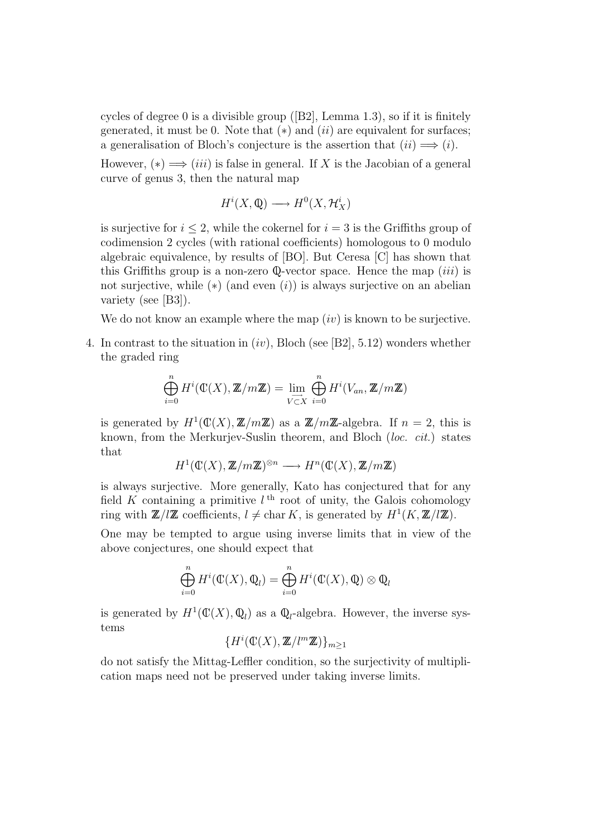cycles of degree 0 is a divisible group ([B2], Lemma 1.3), so if it is finitely generated, it must be 0. Note that  $(*)$  and  $(ii)$  are equivalent for surfaces; a generalisation of Bloch's conjecture is the assertion that  $(ii) \Longrightarrow (i)$ .

However,  $(*) \implies (iii)$  is false in general. If X is the Jacobian of a general curve of genus 3, then the natural map

$$
H^i(X, \mathbb{Q}) \longrightarrow H^0(X, \mathcal{H}_X^i)
$$

is surjective for  $i \leq 2$ , while the cokernel for  $i = 3$  is the Griffiths group of codimension 2 cycles (with rational coefficients) homologous to 0 modulo algebraic equivalence, by results of [BO]. But Ceresa [C] has shown that this Griffiths group is a non-zero  $\mathbb Q$ -vector space. Hence the map *(iii)* is not surjective, while  $(*)$  (and even  $(i)$ ) is always surjective on an abelian variety (see [B3]).

We do not know an example where the map  $(iv)$  is known to be surjective.

4. In contrast to the situation in  $(iv)$ , Bloch (see [B2], 5.12) wonders whether the graded ring

$$
\bigoplus_{i=0}^{n} H^{i}(\mathbb{C}(X), \mathbb{Z}/m\mathbb{Z}) = \lim_{\substack{\longrightarrow \\ V \subset X}} \bigoplus_{i=0}^{n} H^{i}(V_{an}, \mathbb{Z}/m\mathbb{Z})
$$

is generated by  $H^1(\mathbb{C}(X), \mathbb{Z}/m\mathbb{Z})$  as a  $\mathbb{Z}/m\mathbb{Z}$ -algebra. If  $n = 2$ , this is known, from the Merkurjev-Suslin theorem, and Bloch *(loc. cit.)* states that

$$
H^1(\mathbb{C}(X), \mathbb{Z}/m\mathbb{Z})^{\otimes n} \longrightarrow H^n(\mathbb{C}(X), \mathbb{Z}/m\mathbb{Z})
$$

is always surjective. More generally, Kato has conjectured that for any field K containing a primitive  $l<sup>th</sup>$  root of unity, the Galois cohomology ring with  $\mathbb{Z}/l\mathbb{Z}$  coefficients,  $l \neq \text{char } K$ , is generated by  $H^1(K, \mathbb{Z}/l\mathbb{Z})$ .

One may be tempted to argue using inverse limits that in view of the above conjectures, one should expect that

$$
\bigoplus_{i=0}^{n} H^{i}(\mathbb{C}(X), \mathbb{Q}_{l}) = \bigoplus_{i=0}^{n} H^{i}(\mathbb{C}(X), \mathbb{Q}) \otimes \mathbb{Q}_{l}
$$

is generated by  $H^1(\mathbb{C}(X),\mathbb{Q}_l)$  as a  $\mathbb{Q}_l$ -algebra. However, the inverse systems

$$
\{H^i(\mathbb{C}(X),\mathbb{Z}/l^m\mathbb{Z})\}_{m\geq 1}
$$

do not satisfy the Mittag-Leffler condition, so the surjectivity of multiplication maps need not be preserved under taking inverse limits.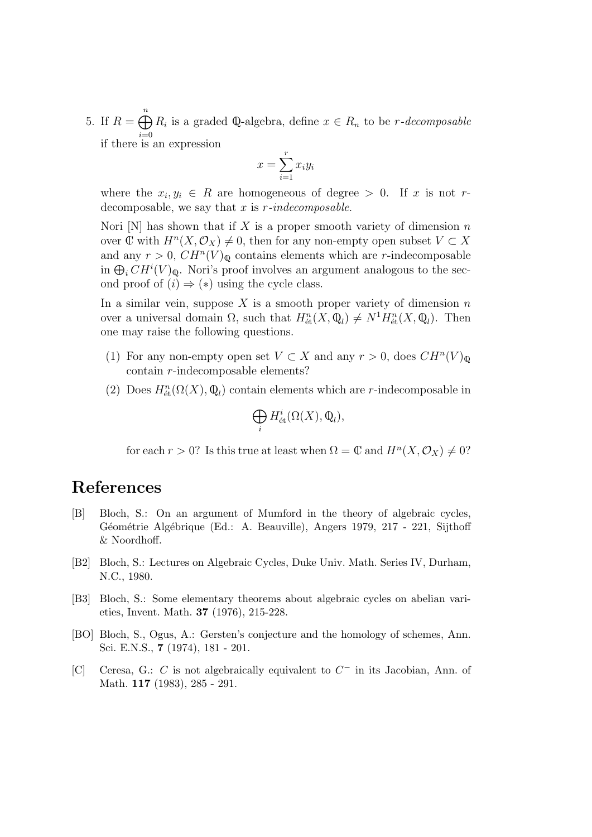5. If  $R = \bigoplus_{n=1}^{n} R_i$  is a graded Q-algebra, define  $x \in R_n$  to be *r*-decomposable if there is an expression

$$
x = \sum_{i=1}^{r} x_i y_i
$$

where the  $x_i, y_i \in R$  are homogeneous of degree > 0. If x is not rdecomposable, we say that  $x$  is  $r$ -indecomposable.

Nori  $[N]$  has shown that if X is a proper smooth variety of dimension n over  $\mathbb C$  with  $H^n(X, \mathcal O_X) \neq 0$ , then for any non-empty open subset  $V \subset X$ and any  $r > 0$ ,  $CH<sup>n</sup>(V)<sub>Q</sub>$  contains elements which are r-indecomposable in  $\bigoplus_i CH^i(V)_{\mathbb{Q}}$ . Nori's proof involves an argument analogous to the second proof of  $(i) \Rightarrow (*)$  using the cycle class.

In a similar vein, suppose X is a smooth proper variety of dimension  $n$ over a universal domain  $\Omega$ , such that  $H_{\text{\'et}}^n(X, \mathbb{Q}_l) \neq N^1 H_{\text{\'et}}^n(X, \mathbb{Q}_l)$ . Then one may raise the following questions.

- (1) For any non-empty open set  $V \subset X$  and any  $r > 0$ , does  $CH<sup>n</sup>(V)_{\mathbb{Q}}$ contain r-indecomposable elements?
- (2) Does  $H_{\text{\'et}}^n(\Omega(X),\mathbb{Q}_l)$  contain elements which are *r*-indecomposable in

$$
\bigoplus_i H^i_{\text{\'et}}(\Omega(X),\mathbb{Q}_l),
$$

for each  $r > 0$ ? Is this true at least when  $\Omega = \mathbb{C}$  and  $H^n(X, \mathcal{O}_X) \neq 0$ ?

## References

- [B] Bloch, S.: On an argument of Mumford in the theory of algebraic cycles, Géométrie Algébrique (Ed.: A. Beauville), Angers 1979, 217 - 221, Sijthoff & Noordhoff.
- [B2] Bloch, S.: Lectures on Algebraic Cycles, Duke Univ. Math. Series IV, Durham, N.C., 1980.
- [B3] Bloch, S.: Some elementary theorems about algebraic cycles on abelian varieties, Invent. Math. 37 (1976), 215-228.
- [BO] Bloch, S., Ogus, A.: Gersten's conjecture and the homology of schemes, Ann. Sci. E.N.S., 7 (1974), 181 - 201.
- [C] Ceresa, G.: C is not algebraically equivalent to  $C^-$  in its Jacobian, Ann. of Math. 117 (1983), 285 - 291.